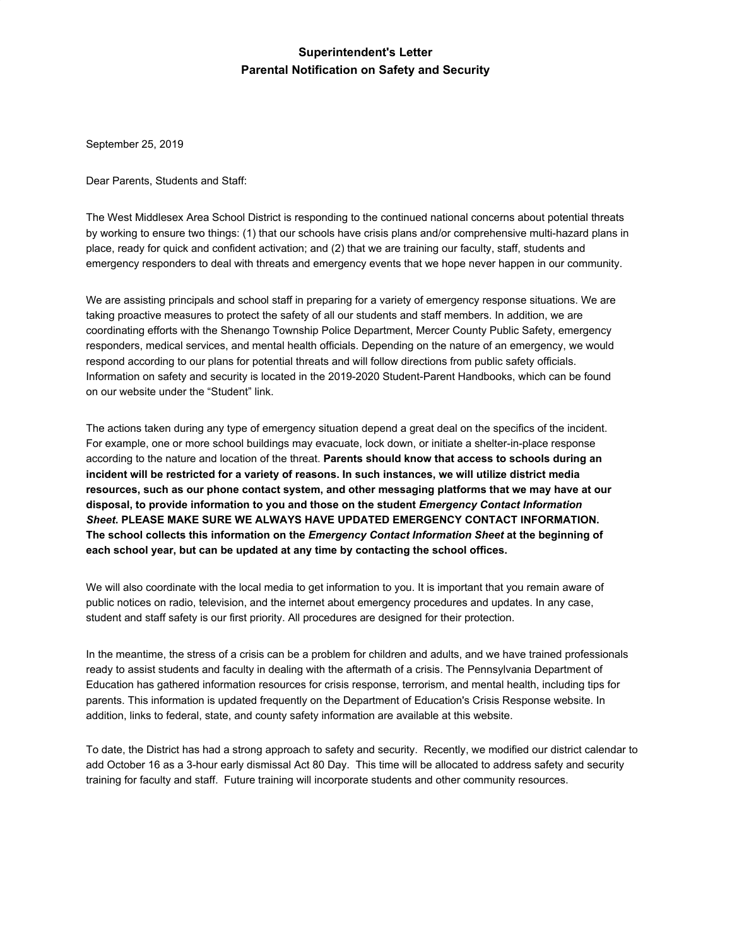## **Superintendent's Letter Parental Notification on Safety and Security**

September 25, 2019

Dear Parents, Students and Staff:

The West Middlesex Area School District is responding to the continued national concerns about potential threats by working to ensure two things: (1) that our schools have crisis plans and/or comprehensive multi-hazard plans in place, ready for quick and confident activation; and (2) that we are training our faculty, staff, students and emergency responders to deal with threats and emergency events that we hope never happen in our community.

We are assisting principals and school staff in preparing for a variety of emergency response situations. We are taking proactive measures to protect the safety of all our students and staff members. In addition, we are coordinating efforts with the Shenango Township Police Department, Mercer County Public Safety, emergency responders, medical services, and mental health officials. Depending on the nature of an emergency, we would respond according to our plans for potential threats and will follow directions from public safety officials. Information on safety and security is located in the 2019-2020 Student-Parent Handbooks, which can be found on our website under the "Student" link.

The actions taken during any type of emergency situation depend a great deal on the specifics of the incident. For example, one or more school buildings may evacuate, lock down, or initiate a shelter-in-place response according to the nature and location of the threat. **Parents should know that access to schools during an incident will be restricted for a variety of reasons. In such instances, we will utilize district media resources, such as our phone contact system, and other messaging platforms that we may have at our disposal, to provide information to you and those on the student** *Emergency Contact Information Sheet***. PLEASE MAKE SURE WE ALWAYS HAVE UPDATED EMERGENCY CONTACT INFORMATION. The school collects this information on the** *Emergency Contact Information Sheet* **at the beginning of each school year, but can be updated at any time by contacting the school offices.**

We will also coordinate with the local media to get information to you. It is important that you remain aware of public notices on radio, television, and the internet about emergency procedures and updates. In any case, student and staff safety is our first priority. All procedures are designed for their protection.

In the meantime, the stress of a crisis can be a problem for children and adults, and we have trained professionals ready to assist students and faculty in dealing with the aftermath of a crisis. The Pennsylvania Department of Education has gathered information resources for crisis response, terrorism, and mental health, including tips for parents. This information is updated frequently on the Department of Education's Crisis Response website. In addition, links to federal, state, and county safety information are available at this website.

To date, the District has had a strong approach to safety and security. Recently, we modified our district calendar to add October 16 as a 3-hour early dismissal Act 80 Day. This time will be allocated to address safety and security training for faculty and staff. Future training will incorporate students and other community resources.